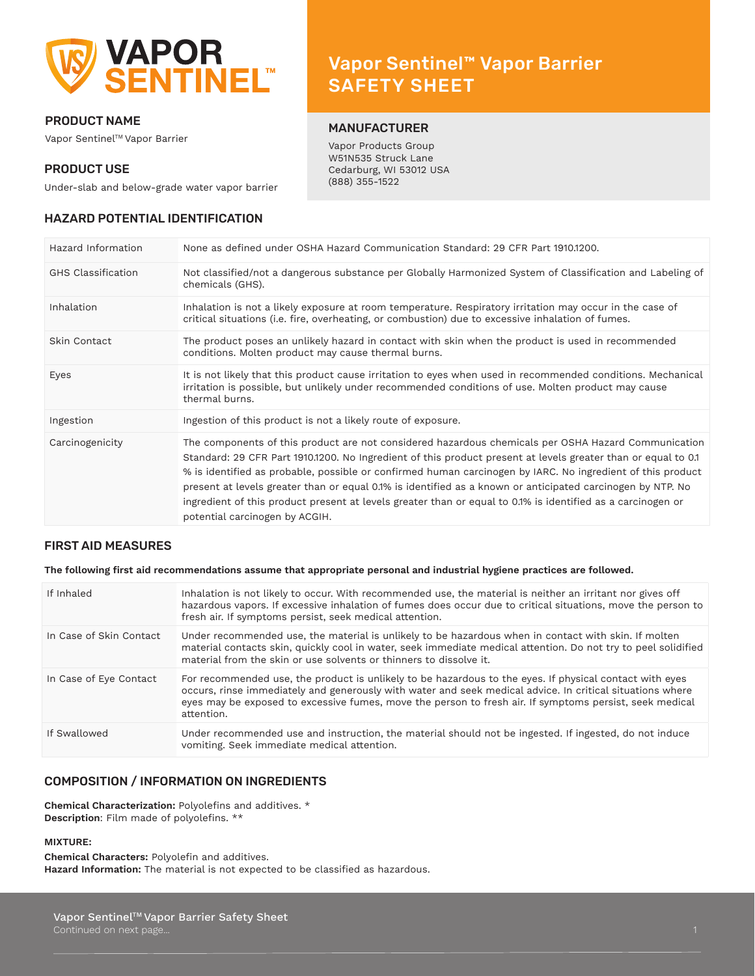

# PRODUCT NAME

Vapor Sentinel™ Vapor Barrier

# PRODUCT USE

Vapor Sentinel™ Vapor Barrier Names SAFETY SHEET

# MANUFACTURER

Vapor Products Group W51N535 Struck Lane Cedarburg, WI 53012 USA (888) 355-1522

Under-slab and below-grade water vapor barrier

# HAZARD POTENTIAL IDENTIFICATION

| Hazard Information        | None as defined under OSHA Hazard Communication Standard: 29 CFR Part 1910.1200.                                                                                                                                                                                                                                                                                                                                                                                                                                                                                                                  |
|---------------------------|---------------------------------------------------------------------------------------------------------------------------------------------------------------------------------------------------------------------------------------------------------------------------------------------------------------------------------------------------------------------------------------------------------------------------------------------------------------------------------------------------------------------------------------------------------------------------------------------------|
| <b>GHS Classification</b> | Not classified/not a dangerous substance per Globally Harmonized System of Classification and Labeling of<br>chemicals (GHS).                                                                                                                                                                                                                                                                                                                                                                                                                                                                     |
| Inhalation                | Inhalation is not a likely exposure at room temperature. Respiratory irritation may occur in the case of<br>critical situations (i.e. fire, overheating, or combustion) due to excessive inhalation of fumes.                                                                                                                                                                                                                                                                                                                                                                                     |
| Skin Contact              | The product poses an unlikely hazard in contact with skin when the product is used in recommended<br>conditions. Molten product may cause thermal burns.                                                                                                                                                                                                                                                                                                                                                                                                                                          |
| Eyes                      | It is not likely that this product cause irritation to eyes when used in recommended conditions. Mechanical<br>irritation is possible, but unlikely under recommended conditions of use. Molten product may cause<br>thermal burns.                                                                                                                                                                                                                                                                                                                                                               |
| Ingestion                 | Ingestion of this product is not a likely route of exposure.                                                                                                                                                                                                                                                                                                                                                                                                                                                                                                                                      |
| Carcinogenicity           | The components of this product are not considered hazardous chemicals per OSHA Hazard Communication<br>Standard: 29 CFR Part 1910.1200. No Ingredient of this product present at levels greater than or equal to 0.1<br>% is identified as probable, possible or confirmed human carcinogen by IARC. No ingredient of this product<br>present at levels greater than or equal 0.1% is identified as a known or anticipated carcinogen by NTP. No<br>ingredient of this product present at levels greater than or equal to 0.1% is identified as a carcinogen or<br>potential carcinogen by ACGIH. |

# FIRST AID MEASURES

#### **The following first aid recommendations assume that appropriate personal and industrial hygiene practices are followed.**

| If Inhaled              | Inhalation is not likely to occur. With recommended use, the material is neither an irritant nor gives off<br>hazardous vapors. If excessive inhalation of fumes does occur due to critical situations, move the person to<br>fresh air. If symptoms persist, seek medical attention.                                                         |
|-------------------------|-----------------------------------------------------------------------------------------------------------------------------------------------------------------------------------------------------------------------------------------------------------------------------------------------------------------------------------------------|
| In Case of Skin Contact | Under recommended use, the material is unlikely to be hazardous when in contact with skin. If molten<br>material contacts skin, quickly cool in water, seek immediate medical attention. Do not try to peel solidified<br>material from the skin or use solvents or thinners to dissolve it.                                                  |
| In Case of Eye Contact  | For recommended use, the product is unlikely to be hazardous to the eyes. If physical contact with eyes<br>occurs, rinse immediately and generously with water and seek medical advice. In critical situations where<br>eyes may be exposed to excessive fumes, move the person to fresh air. If symptoms persist, seek medical<br>attention. |
| If Swallowed            | Under recommended use and instruction, the material should not be ingested. If ingested, do not induce<br>vomiting. Seek immediate medical attention.                                                                                                                                                                                         |

# COMPOSITION / INFORMATION ON INGREDIENTS

**Chemical Characterization:** Polyolefins and additives. \* **Description**: Film made of polyolefins. \*\*

#### **MIXTURE:**

**Chemical Characters:** Polyolefin and additives. **Hazard Information:** The material is not expected to be classified as hazardous.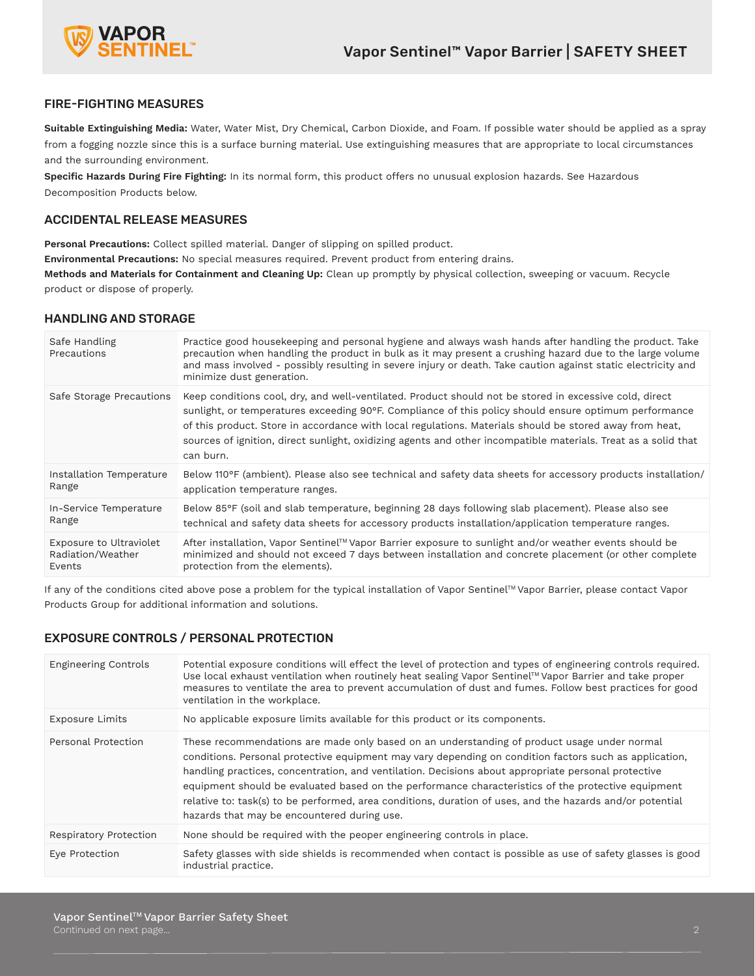

# FIRE-FIGHTING MEASURES

**Suitable Extinguishing Media:** Water, Water Mist, Dry Chemical, Carbon Dioxide, and Foam. If possible water should be applied as a spray from a fogging nozzle since this is a surface burning material. Use extinguishing measures that are appropriate to local circumstances and the surrounding environment.

**Specific Hazards During Fire Fighting:** In its normal form, this product offers no unusual explosion hazards. See Hazardous Decomposition Products below.

# ACCIDENTAL RELEASE MEASURES

**Personal Precautions:** Collect spilled material. Danger of slipping on spilled product.

**Environmental Precautions:** No special measures required. Prevent product from entering drains.

**Methods and Materials for Containment and Cleaning Up:** Clean up promptly by physical collection, sweeping or vacuum. Recycle product or dispose of properly.

# HANDLING AND STORAGE

| Safe Handling<br>Precautions | Practice good housekeeping and personal hygiene and always wash hands after handling the product. Take<br>precaution when handling the product in bulk as it may present a crushing hazard due to the large volume<br>and mass involved - possibly resulting in severe injury or death. Take caution against static electricity and<br>minimize dust generation.                                                                                          |
|------------------------------|-----------------------------------------------------------------------------------------------------------------------------------------------------------------------------------------------------------------------------------------------------------------------------------------------------------------------------------------------------------------------------------------------------------------------------------------------------------|
| Safe Storage Precautions     | Keep conditions cool, dry, and well-ventilated. Product should not be stored in excessive cold, direct<br>sunlight, or temperatures exceeding 90°F. Compliance of this policy should ensure optimum performance<br>of this product. Store in accordance with local regulations. Materials should be stored away from heat,<br>sources of ignition, direct sunlight, oxidizing agents and other incompatible materials. Treat as a solid that<br>can burn. |
| Installation Temperature     | Below 110°F (ambient). Please also see technical and safety data sheets for accessory products installation/                                                                                                                                                                                                                                                                                                                                              |
| Range                        | application temperature ranges.                                                                                                                                                                                                                                                                                                                                                                                                                           |
| In-Service Temperature       | Below 85°F (soil and slab temperature, beginning 28 days following slab placement). Please also see                                                                                                                                                                                                                                                                                                                                                       |
| Range                        | technical and safety data sheets for accessory products installation/application temperature ranges.                                                                                                                                                                                                                                                                                                                                                      |
| Exposure to Ultraviolet      | After installation, Vapor Sentinel™ Vapor Barrier exposure to sunlight and/or weather events should be                                                                                                                                                                                                                                                                                                                                                    |
| Radiation/Weather            | minimized and should not exceed 7 days between installation and concrete placement (or other complete                                                                                                                                                                                                                                                                                                                                                     |
| Events                       | protection from the elements).                                                                                                                                                                                                                                                                                                                                                                                                                            |

If any of the conditions cited above pose a problem for the typical installation of Vapor Sentinel™ Vapor Barrier, please contact Vapor Products Group for additional information and solutions.

# EXPOSURE CONTROLS / PERSONAL PROTECTION

| <b>Engineering Controls</b> | Potential exposure conditions will effect the level of protection and types of engineering controls required.<br>Use local exhaust ventilation when routinely heat sealing Vapor Sentinel™ Vapor Barrier and take proper<br>measures to ventilate the area to prevent accumulation of dust and fumes. Follow best practices for good<br>ventilation in the workplace.                                                                                                                                                                                                          |
|-----------------------------|--------------------------------------------------------------------------------------------------------------------------------------------------------------------------------------------------------------------------------------------------------------------------------------------------------------------------------------------------------------------------------------------------------------------------------------------------------------------------------------------------------------------------------------------------------------------------------|
| <b>Exposure Limits</b>      | No applicable exposure limits available for this product or its components.                                                                                                                                                                                                                                                                                                                                                                                                                                                                                                    |
| Personal Protection         | These recommendations are made only based on an understanding of product usage under normal<br>conditions. Personal protective equipment may vary depending on condition factors such as application,<br>handling practices, concentration, and ventilation. Decisions about appropriate personal protective<br>equipment should be evaluated based on the performance characteristics of the protective equipment<br>relative to: task(s) to be performed, area conditions, duration of uses, and the hazards and/or potential<br>hazards that may be encountered during use. |
| Respiratory Protection      | None should be required with the peoper engineering controls in place.                                                                                                                                                                                                                                                                                                                                                                                                                                                                                                         |
| Eye Protection              | Safety glasses with side shields is recommended when contact is possible as use of safety glasses is good<br>industrial practice.                                                                                                                                                                                                                                                                                                                                                                                                                                              |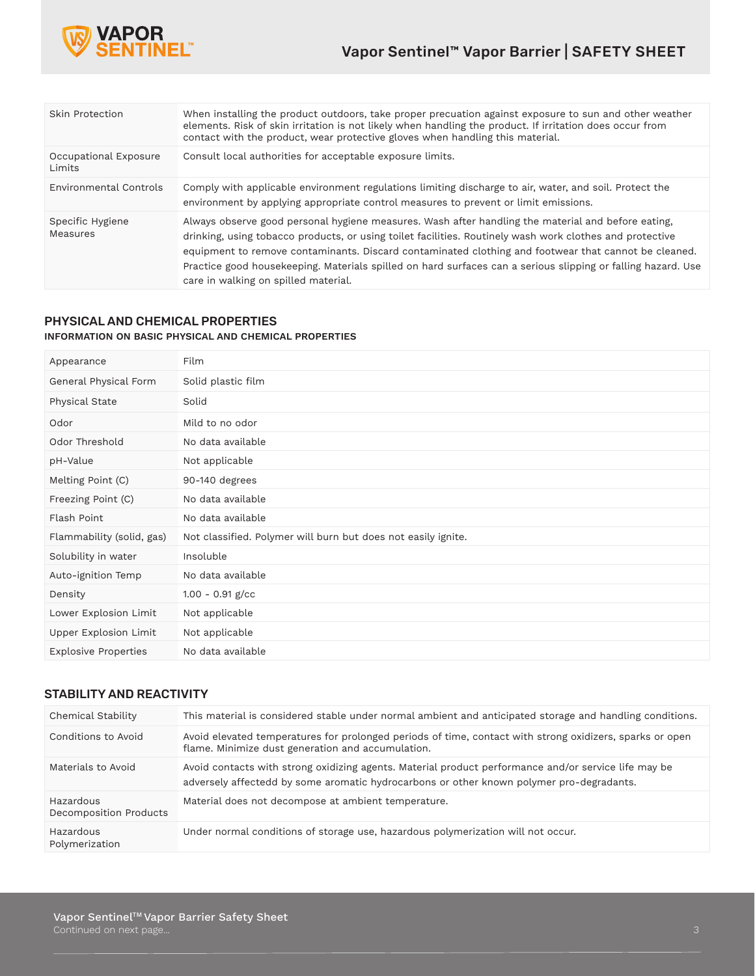

| Skin Protection                 | When installing the product outdoors, take proper precuation against exposure to sun and other weather<br>elements. Risk of skin irritation is not likely when handling the product. If irritation does occur from<br>contact with the product, wear protective gloves when handling this material.                                                                                                                                                                            |
|---------------------------------|--------------------------------------------------------------------------------------------------------------------------------------------------------------------------------------------------------------------------------------------------------------------------------------------------------------------------------------------------------------------------------------------------------------------------------------------------------------------------------|
| Occupational Exposure<br>Limits | Consult local authorities for acceptable exposure limits.                                                                                                                                                                                                                                                                                                                                                                                                                      |
| Environmental Controls          | Comply with applicable environment regulations limiting discharge to air, water, and soil. Protect the<br>environment by applying appropriate control measures to prevent or limit emissions.                                                                                                                                                                                                                                                                                  |
| Specific Hygiene<br>Measures    | Always observe good personal hygiene measures. Wash after handling the material and before eating,<br>drinking, using tobacco products, or using toilet facilities. Routinely wash work clothes and protective<br>equipment to remove contaminants. Discard contaminated clothing and footwear that cannot be cleaned.<br>Practice good housekeeping. Materials spilled on hard surfaces can a serious slipping or falling hazard. Use<br>care in walking on spilled material. |

# PHYSICAL AND CHEMICAL PROPERTIES **INFORMATION ON BASIC PHYSICAL AND CHEMICAL PROPERTIES**

| Appearance                  | Film                                                          |
|-----------------------------|---------------------------------------------------------------|
| General Physical Form       | Solid plastic film                                            |
| Physical State              | Solid                                                         |
| Odor                        | Mild to no odor                                               |
| Odor Threshold              | No data available                                             |
| pH-Value                    | Not applicable                                                |
| Melting Point (C)           | 90-140 degrees                                                |
| Freezing Point (C)          | No data available                                             |
| Flash Point                 | No data available                                             |
| Flammability (solid, gas)   | Not classified. Polymer will burn but does not easily ignite. |
| Solubility in water         | Insoluble                                                     |
| Auto-ignition Temp          | No data available                                             |
| Density                     | $1.00 - 0.91$ g/cc                                            |
| Lower Explosion Limit       | Not applicable                                                |
| Upper Explosion Limit       | Not applicable                                                |
| <b>Explosive Properties</b> | No data available                                             |

# STABILITY AND REACTIVITY

| Chemical Stability                  | This material is considered stable under normal ambient and anticipated storage and handling conditions.                                                                                         |
|-------------------------------------|--------------------------------------------------------------------------------------------------------------------------------------------------------------------------------------------------|
| Conditions to Avoid                 | Avoid elevated temperatures for prolonged periods of time, contact with strong oxidizers, sparks or open<br>flame. Minimize dust generation and accumulation.                                    |
| Materials to Avoid                  | Avoid contacts with strong oxidizing agents. Material product performance and/or service life may be<br>adversely affectedd by some aromatic hydrocarbons or other known polymer pro-degradants. |
| Hazardous<br>Decomposition Products | Material does not decompose at ambient temperature.                                                                                                                                              |
| Hazardous<br>Polymerization         | Under normal conditions of storage use, hazardous polymerization will not occur.                                                                                                                 |